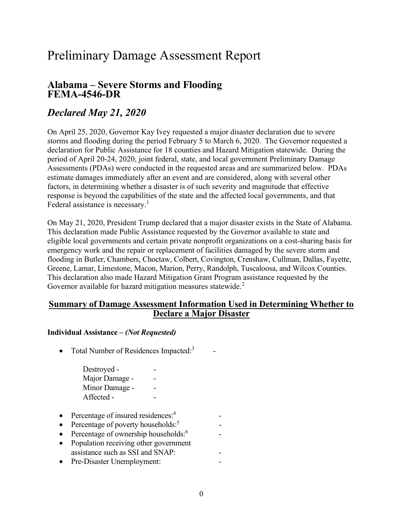## Preliminary Damage Assessment Report

# Alabama – Severe Storms and Flooding FEMA-4546-DR

### Declared May 21, 2020

 On April 25, 2020, Governor Kay Ivey requested a major disaster declaration due to severe storms and flooding during the period February 5 to March 6, 2020. The Governor requested a declaration for Public Assistance for 18 counties and Hazard Mitigation statewide. During the period of April 20-24, 2020, joint federal, state, and local government Preliminary Damage Assessments (PDAs) were conducted in the requested areas and are summarized below. PDAs estimate damages immediately after an event and are considered, along with several other factors, in determining whether a disaster is of such severity and magnitude that effective response is beyond the capabilities of the state and the affected local governments, and that Federal assistance is necessary.<sup>1</sup>

 On May 21, 2020, President Trump declared that a major disaster exists in the State of Alabama. This declaration made Public Assistance requested by the Governor available to state and eligible local governments and certain private nonprofit organizations on a cost-sharing basis for emergency work and the repair or replacement of facilities damaged by the severe storm and flooding in Butler, Chambers, Choctaw, Colbert, Covington, Crenshaw, Cullman, Dallas, Fayette, Greene, Lamar, Limestone, Macon, Marion, Perry, Randolph, Tuscaloosa, and Wilcox Counties. This declaration also made Hazard Mitigation Grant Program assistance requested by the Governor available for hazard mitigation measures statewide.<sup>2</sup>

#### Summary of Damage Assessment Information Used in Determining Whether to Declare a Major Disaster

#### Individual Assistance – (Not Requested)

- Total Number of Residences Impacted: $3$ 
	- Destroyed The set of the set of the set of the set of the set of the set of the set of the set of the set of the set of the set of the set of the set of the set of the set of the set of the set of the set of the set of t Major Damage - The -Minor Damage - The -Affected - The set of  $\sim$
- Percentage of insured residences:<sup>4</sup> -
- Percentage of poverty households: $5$  -
- Percentage of ownership households: $6 \rightarrow$
- Population receiving other government assistance such as SSI and SNAP: -
- Pre-Disaster Unemployment: